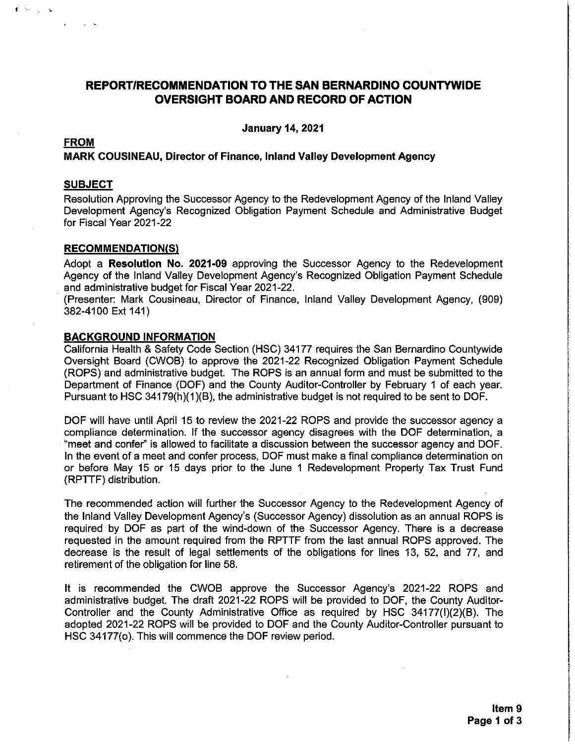# **REPORT/RECOMMENDATION TO THE SAN BERNARDINO COUNTYWIDE OVERSIGHT BOARD AND RECORD OF ACTION**

**January 14, 2021** 

## **FROM**

 $\mathbf{f}$  . See

 $\sim$   $\sim$   $\sim$ 

#### **MARK COUSINEAU, Director of Finance, Inland Valley Development Agency**

#### **SUBJECT**

Resolution Approving the Successor Agency to the Redevelopment Agency of the Inland Valley Development Agency's Recognized Obligation Payment Schedule and Administrative Budget for Fiscal Year 2021-22

#### **RECOMMENDATION(S)**

Adopt a Resolution No. 2021-09 approving the Successor Agency to the Redevelopment Agency of the Inland Valley Development Agency's Recognized Obligation Payment Schedule and administrative budget for Fiscal Year 2021-22.

(Presenter: Mark Cousineau, Director of Finance, Inland Valley Development Agency, (909) 382-4100 Ext 141)

#### **BACKGROUND INFORMATION**

California Health & Safety Code Section (HSC) 34177 requires the San Bernardino Countywide Oversight Board (CWOB) to approve the 2021-22 Recognized Obligation Payment Schedule (ROPS) and administrative budget. The ROPS is an annual form and must be submitted to the Department of Finance (DOF) and the County Auditor-Controller by February 1 of each year. Pursuant to HSC 34179(h)(1)(B), the administrative budget is not required to be sent to DOF.

DOF will have until April 15 to review the 2021-22 ROPS and provide the successor agency a compliance determination. If the successor agency disagrees with the DOF determination, a "meet and confer" is allowed to facilitate a discussion between the successor agency and DOF. In the event of a meet and confer process, DOF must make a final compliance determination on or before May 15 or 15 days prior to the June 1 Redevelopment Property Tax Trust Fund (RPTTF) distribution.

The recommended action will further the Successor Agency to the Redevelopment Agency of the Inland Valley Development Agency's (Successor Agency) dissolution as an annual ROPS is required by DOF as part of the wind-down of the Successor Agency. There is a decrease requested in the amount required from the RPTTF from the last annual ROPS approved. The decrease is the result of legal settlements of the obligations for lines 13, 52, and 77, and retirement of the obligation for line 58.

It is recommended the CWOB approve the Successor Agency's 2021-22 ROPS and administrative budget. The draft 2021-22 ROPS will be provided to DOF, the County Auditor-Controller and the County Administrative Office as required by HSC 34177(I)(2)(B). The adopted 2021-22 ROPS will be provided to DOF and the County Auditor-Controller pursuant to HSC 34177(o). This will commence the DOF review period.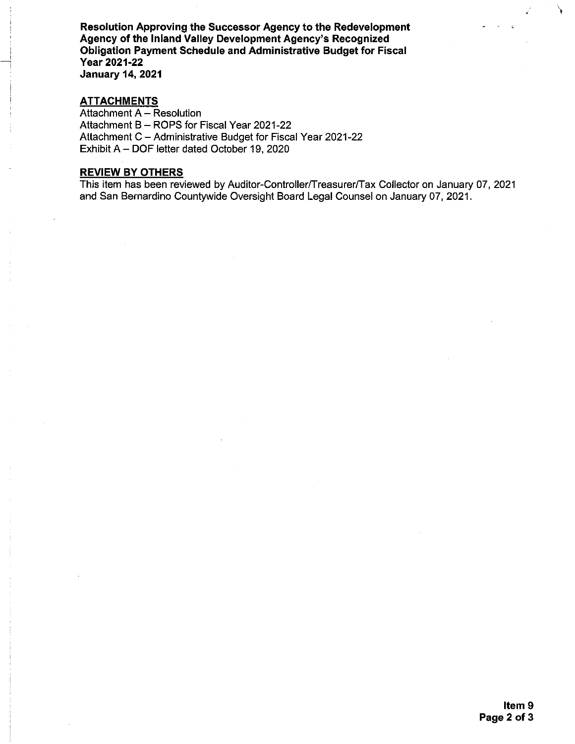Resolution Approving the Successor Agency to the Redevelopment Agency of the Inland Valley Development Agency's Recognized Obligation Payment Schedule and Administrative Budget for Fiscal Year 2021-22 **January 14, 2021** 

#### **ATTACHMENTS**

Attachment A - Resolution Attachment B - ROPS for Fiscal Year 2021-22 Attachment C - Administrative Budget for Fiscal Year 2021-22 Exhibit A - DOF letter dated October 19, 2020

# **REVIEW BY OTHERS**

This item has been reviewed by Auditor-Controller/Treasurer/Tax Collector on January 07, 2021 and San Bernardino Countywide Oversight Board Legal Counsel on January 07, 2021.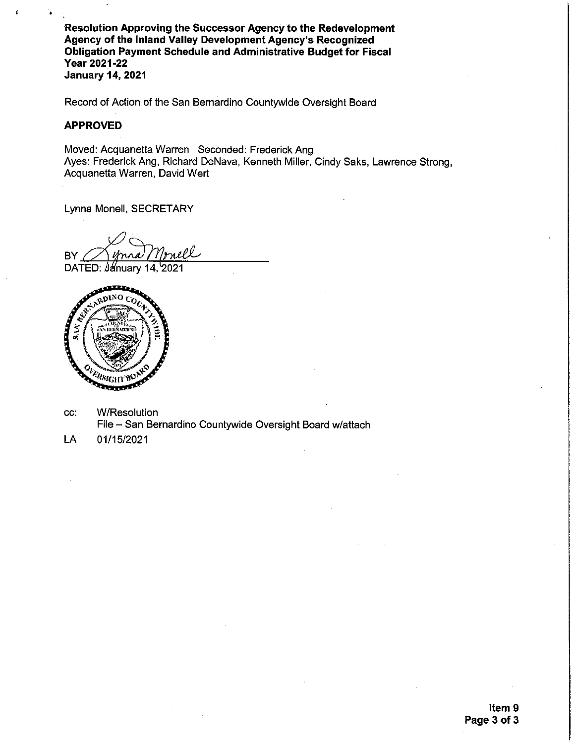Resolution Approving the Successor Agency to the Redevelopment Agency of the Inland Valley Development Agency's Recognized Obligation Payment Schedule and Administrative Budget for Fiscal **Year 2021-22 January 14, 2021** 

Record of Action of the San Bernardino Countywide Oversight Board

# **APPROVED**

Moved: Acquanetta Warren Seconded: Frederick Ang Ayes: Frederick Ang, Richard DeNava, Kenneth Miller, Cindy Saks, Lawrence Strong, Acquanetta Warren, David Wert

Lynna Monell, SECRETARY

mell BY

DATED: January 14, 2021



- CC: W/Resolution File - San Bernardino Countywide Oversight Board w/attach
- 01/15/2021 LA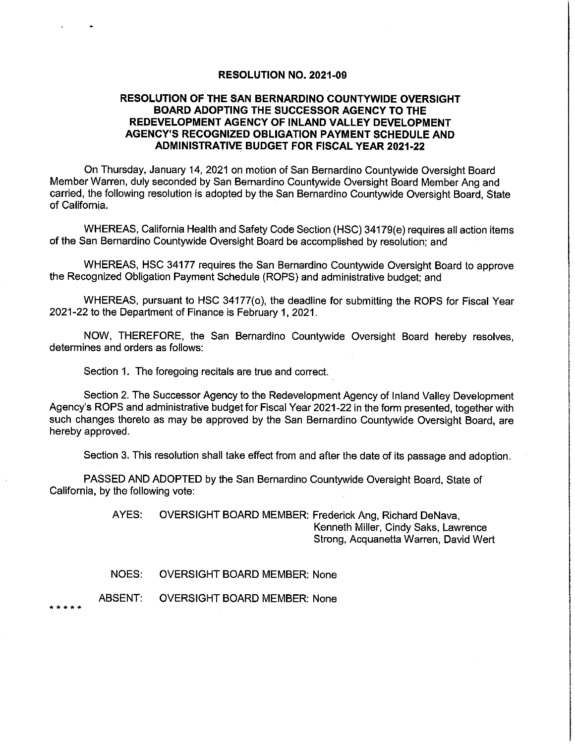#### **RESOLUTION NO. 2021-09**

## RESOLUTION OF THE SAN BERNARDINO COUNTYWIDE OVERSIGHT **BOARD ADOPTING THE SUCCESSOR AGENCY TO THE** REDEVELOPMENT AGENCY OF INLAND VALLEY DEVELOPMENT AGENCY'S RECOGNIZED OBLIGATION PAYMENT SCHEDULE AND **ADMINISTRATIVE BUDGET FOR FISCAL YEAR 2021-22**

On Thursday, January 14, 2021 on motion of San Bernardino Countywide Oversight Board Member Warren, duly seconded by San Bernardino Countywide Oversight Board Member Ang and carried, the following resolution is adopted by the San Bernardino Countywide Oversight Board, State of California.

WHEREAS, California Health and Safety Code Section (HSC) 34179(e) requires all action items of the San Bernardino Countywide Oversight Board be accomplished by resolution; and

WHEREAS, HSC 34177 requires the San Bernardino Countywide Oversight Board to approve the Recognized Obligation Payment Schedule (ROPS) and administrative budget; and

WHEREAS, pursuant to HSC 34177(o), the deadline for submitting the ROPS for Fiscal Year 2021-22 to the Department of Finance is February 1, 2021.

NOW, THEREFORE, the San Bernardino Countywide Oversight Board hereby resolves, determines and orders as follows:

Section 1. The foregoing recitals are true and correct.

Section 2. The Successor Agency to the Redevelopment Agency of Inland Valley Development Agency's ROPS and administrative budget for Fiscal Year 2021-22 in the form presented, together with such changes thereto as may be approved by the San Bernardino Countywide Oversight Board, are hereby approved.

Section 3. This resolution shall take effect from and after the date of its passage and adoption.

PASSED AND ADOPTED by the San Bernardino Countywide Oversight Board, State of California, by the following vote:

> AYES: OVERSIGHT BOARD MEMBER: Frederick Ang, Richard DeNava, Kenneth Miller, Cindy Saks, Lawrence Strong, Acquanetta Warren, David Wert

NOES: **OVERSIGHT BOARD MEMBER: None** 

ABSENT: **OVERSIGHT BOARD MEMBER: None** 

. . . . .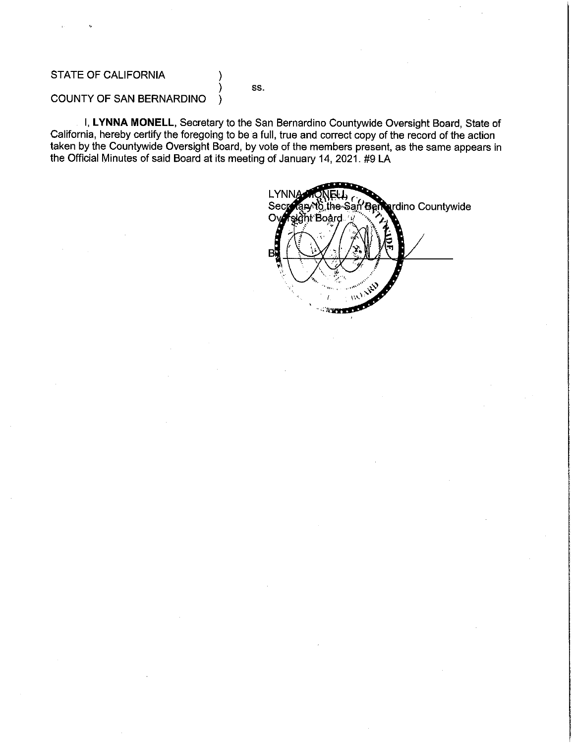# STATE OF CALIFORNIA

SS.

#### **COUNTY OF SAN BERNARDINO** €

I, LYNNA MONELL, Secretary to the San Bernardino Countywide Oversight Board, State of California, hereby certify the foregoing to be a full, true and correct copy of the record of the action taken by the Countywide Oversight Board, by vote of the members present, as the same appears in the Official Minutes of said Board at its meeting of January 14, 2021. #9 LA

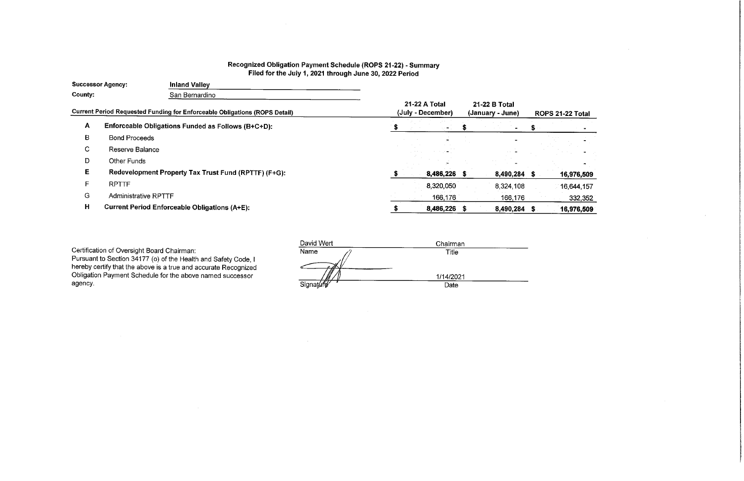# Recognized Obligation Payment Schedule (ROPS 21-22) - Summary<br>Filed for the July 1, 2021 through June 30, 2022 Period

| <b>Successor Agency:</b> |                             | <b>Inland Valley</b>                                                              |  |                                    |    |                                   |            |
|--------------------------|-----------------------------|-----------------------------------------------------------------------------------|--|------------------------------------|----|-----------------------------------|------------|
| County:                  |                             | San Bernardino                                                                    |  |                                    |    |                                   |            |
|                          |                             | <b>Current Period Requested Funding for Enforceable Obligations (ROPS Detail)</b> |  | 21-22 A Total<br>(July - December) |    | 21-22 B Total<br>(January - June) | <b>ROP</b> |
| $\mathbf{A}$             |                             | Enforceable Obligations Funded as Follows (B+C+D):                                |  |                                    |    |                                   |            |
| В                        | <b>Bond Proceeds</b>        |                                                                                   |  |                                    |    |                                   |            |
| С                        | Reserve Balance             |                                                                                   |  |                                    |    |                                   |            |
| D                        | Other Funds                 |                                                                                   |  |                                    |    |                                   |            |
| E.                       |                             | Redevelopment Property Tax Trust Fund (RPTTF) (F+G):                              |  | 8,486,226 \$                       |    | 8,490,284 \$                      |            |
|                          | <b>RPTTF</b>                |                                                                                   |  | 8,320,050                          |    | 8,324,108                         |            |
| G                        | <b>Administrative RPTTF</b> |                                                                                   |  | 166,176                            |    | 166,176                           |            |
| H                        |                             | <b>Current Period Enforceable Obligations (A+E):</b>                              |  | 8,486,226                          | -5 | 8,490,284 \$                      |            |
|                          |                             |                                                                                   |  |                                    |    |                                   |            |

 $\sim 100$ 

Certification of Oversight Board Chairman:<br>Pursuant to Section 34177 (o) of the Health and Safety Code, I<br>hereby certify that the above is a true and accurate Recognized Obligation Payment Schedule for the above named successor agency.

| David Wert | Chairman  |  |
|------------|-----------|--|
| Name       | Title     |  |
|            | 1/14/2021 |  |
| Signature  | Date      |  |
|            |           |  |

| 'S 21-22 Total |         |
|----------------|---------|
|                |         |
|                |         |
|                |         |
|                |         |
| 16,976,509     |         |
| 16,644,157     |         |
|                | 332,352 |
| 16,976,509     |         |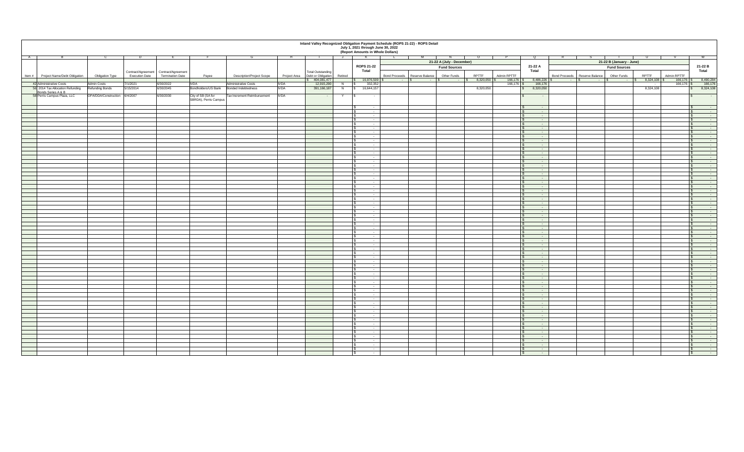| July 1, 2021 through June 30, 2022<br>(Report Amounts in Whole Dollars)<br><b>A</b><br>21-22 B (January - June)<br>21-22 A (July - December)<br><b>ROPS 21-22</b><br>21-22 B<br>21-22 A<br><b>Fund Sources</b><br><b>Fund Sources</b><br><b>Total</b><br><b>Total</b><br><b>Total</b><br>Contract/Agreement   Contract/Agreement<br>Total Outstanding<br><b>Termination Date</b><br><b>RPTTF</b><br>Admin RPTTF<br><b>RPTTF</b><br><b>Execution Date</b><br>Project Area   Debt or Obligation   Retired<br><b>Other Funds</b><br><b>Other Funds</b><br>Admin RPTTF<br>Item $\#$ Project Name/Debt Obligation<br>Bond Proceeds   Reserve Balance<br>Bond Proceeds   Reserve Balance<br><b>Obligation Type</b><br>Payee<br><b>Description/Project Scope</b><br>$16,976,509$ \$<br>$8,486,226$ \$<br>8,490,284<br>$\frac{1}{3}$ 404,081,477<br>$8,320,050$ :<br>$166,176$ \$<br>$8,324,108$ \$<br>$166,176$ \$<br>$ \sqrt{3}$<br>$ \sqrt{5}$<br>$ \sqrt{5}$<br>$-1$ $\sim$<br>$-18$<br><b>Contract Contract</b><br><b>Admin Costs</b><br>7/1/2021<br>332,352<br>166,176<br>42 Administrative Costs<br>6/30/2022<br><b>IVDA</b><br>Administrative Costs<br><b>IVDA</b><br>12,915,290<br>$166, 176$ \$<br>166,176<br>$166, 176$ \$<br>N<br>$\sim 100$ m $^{-1}$<br><b>IVDA</b><br>Bondholders/US Bank<br>8,324,108<br>56 2014 Tax Allocation Refunding<br><b>Refunding Bonds</b><br>5/15/2014<br>6/30/2045<br>16,644,157<br>8,320,050<br>8,320,050<br>391,166,187<br>8,324,108<br><b>Bonded Indebtedness</b><br>Bonds Series A & B<br>58 Perris Campus Plaza, LLC<br>OPA/DDA/Construction 6/4/2007<br>6/30/2030<br>City of SB (SA for<br>Tax Increment Reimbursement<br><b>IVDA</b><br><b>Contract Contract</b><br>$\sim$ $ \sim$<br>$\sim$ 100 $\sim$<br>$\sim$<br>SBRDA), Perris Campus<br>$\sim 100$ m $^{-1}$<br>$\sim$ $-$<br>$\sim$<br>$\sim 100$ km s $^{-1}$<br>$\sim$ $-$<br>$\sim$ $\sim$<br>$\sim$ $-$<br>$\sim$ $ \sim$<br>$\sim 100$ m $^{-1}$<br><b>State State</b><br>$\sim$ $-$<br>$\sim$<br>$\sim$ $\sim$<br>$\sim$<br>$\sim$ $-$<br>$\sim$ 100 $\sim$<br>$\sim$ $-$<br>$\sim$ 100 $\pm$<br>$\sim$ $-$<br>$\sim$ $-$<br>$\sim$ 100 $\sim$<br>$\sim$ $-$<br><b>Service</b><br>$\sim$ 100 $\pm$<br>$\sim$ $-$<br>$\sim$ $-$<br>$\sim$<br>$\sim$ 100 $\sim$<br><b>State State</b><br>$\sim$ $-$<br>$\sim$ $-$<br>$\sim 100$<br>$\sim$<br>$\sim$ $-$<br>$\sim 100$<br>$\sim$ $\sim$<br>$\sim$ $-$<br>$\sim$ 100 $\sim$<br>$\sim$ $-$<br>$\sim$ $ \sim$<br>$\sim$ $-$<br>$\sim$ $-$<br>$\sim$<br>$\sim$ 100 $\sim$<br>$\sim 100$ m $^{-1}$<br>$\sim$ $-$<br>$\sim$ $\sim$<br>$\sim 100$ m $^{-1}$<br>$\sim$ $-$<br>$-$<br>$\mathcal{L}$<br><b>Service Contracts</b><br>$\sim$ $-$<br><b>Service Contracts</b><br><b>Service Contracts</b><br>and the state of the<br><b>Contract Contract</b><br><b>Service State</b><br>and the state of the state of<br>$\sim$ $-$<br>$\mathsf{\$}$<br>and the company of the company<br>$\sim$ $\sim$ $\sim$<br>$\mathcal{S}$<br><b>Service Contract Contract</b><br>$\sim$ $-$<br><b>Service Contracts</b><br>$\sim$ $\sim$<br><b>Service Contract Contract</b><br><b>Contract Contract Contract</b><br>$\sim$ 100 $\pm$ 100 $\pm$<br>and the contract of the con-<br>$\sim$ $-$<br>and the company of the company<br>$\sim$ $\sim$ $\sim$<br>$\sim$ 100 $\sim$<br>$\sim$ $\sim$<br><b>Contract Contract State</b><br><b>Contract Contract</b><br>$\sim$ $\sim$<br>$\sim$ 100 $\pm$ 100 $\pm$<br>$\sim$ $\sim$<br><b>Contract Contract</b><br><b>Service State</b><br><b>Service Contracts</b><br>and the state of the state of<br><b>Service Contract Contract Contract</b><br><b>Service Contracts</b><br>$\mathcal{L}$<br><u> André de la provincia de la p</u><br>$\sim$ $-$<br>$\sim$ $ \sim$<br>$\sim$ $-$<br><b>Service State</b><br><b>Contract Contract</b><br>$\sim 100$ m $^{-1}$<br>$\sim$ $-$<br><b>Service Contract Service</b><br>and the contract of the con-<br><b>Service Contract Contract</b><br><u> André de la provincia de la p</u><br><b>Service</b> State<br>$\sim$ 100 $\pm$<br>$\sim$ $\sim$<br><b>STATE OF BUILDING</b><br>$\sim$ $-$<br><b>Service Committee</b><br>$\sim$ $-$<br><b>Service State</b><br><b>Service</b> State<br>and the control of the con-<br><b>Contract Contract State</b><br><u> Alban Sara</u><br>$\sim$ $\sim$<br>$\sim 100$<br>$\sim$ $\sim$<br><b>Service State</b><br>$\sim 100$ m $^{-1}$<br>$\sim$ $-$<br>$\sim$ 100 $\pm$<br><b>Service Contract Contract</b><br><b>Service Contracts</b><br><b>Contract Contract Contract</b><br>$\sim$ $-$<br><b>Contract Contract Contract</b><br><b>Service State</b><br><b>Service Contracts</b><br><b>Contract Contract Contract</b><br>$\mathbb{S}$ -<br>and the state of the state of the<br><b>Service Contract Contract</b><br>$\mathbb{S}$ -<br>$\overline{\text{S}}$ $\overline{\text{S}}$ $\overline{\text{S}}$<br><b>Service Contract Contract Contract</b><br>the control of the control of<br>the control of the control of the control<br>$\mathcal{S}$ $\sim$<br>and the control of the control<br><b>Service Contract Contract</b><br>the contract of the contract of the contract of the contract of the contract of the contract of the contract of<br><u> The Common Second Common Second Common Second Common Second Common Second Common Second Common Second Common Second Common Second Common Second Common Second Common Second Common Second Common Second Common Second Common</u><br>$\mathbb{C}$ . The set of $\mathbb{C}$<br>and the contract of the contract of<br><b>Contract Contract Contract Contract</b><br>the contract of the contract of the<br><b>Service Contract Service</b><br>$\sim$ $\sim$ $\sim$<br><b>Service Contract Contract</b><br><b>Service Contracts</b> | Inland Valley Recognized Obligation Payment Schedule (ROPS 21-22) - ROPS Detail |  |  |  |  |  |  |  |  |  |  |  |  |
|---------------------------------------------------------------------------------------------------------------------------------------------------------------------------------------------------------------------------------------------------------------------------------------------------------------------------------------------------------------------------------------------------------------------------------------------------------------------------------------------------------------------------------------------------------------------------------------------------------------------------------------------------------------------------------------------------------------------------------------------------------------------------------------------------------------------------------------------------------------------------------------------------------------------------------------------------------------------------------------------------------------------------------------------------------------------------------------------------------------------------------------------------------------------------------------------------------------------------------------------------------------------------------------------------------------------------------------------------------------------------------------------------------------------------------------------------------------------------------------------------------------------------------------------------------------------------------------------------------------------------------------------------------------------------------------------------------------------------------------------------------------------------------------------------------------------------------------------------------------------------------------------------------------------------------------------------------------------------------------------------------------------------------------------------------------------------------------------------------------------------------------------------------------------------------------------------------------------------------------------------------------------------------------------------------------------------------------------------------------------------------------------------------------------------------------------------------------------------------------------------------------------------------------------------------------------------------------------------------------------------------------------------------------------------------------------------------------------------------------------------------------------------------------------------------------------------------------------------------------------------------------------------------------------------------------------------------------------------------------------------------------------------------------------------------------------------------------------------------------------------------------------------------------------------------------------------------------------------------------------------------------------------------------------------------------------------------------------------------------------------------------------------------------------------------------------------------------------------------------------------------------------------------------------------------------------------------------------------------------------------------------------------------------------------------------------------------------------------------------------------------------------------------------------------------------------------------------------------------------------------------------------------------------------------------------------------------------------------------------------------------------------------------------------------------------------------------------------------------------------------------------------------------------------------------------------------------------------------------------------------------------------------------------------------------------------------------------------------------------------------------------------------------------------------------------------------------------------------------------------------------------------------------------------------------------------------------------------------------------------------------------------------------------------------------------------------------------------------------------------------------------------------------------------------------------------------------------------------------------------------------------------------------------------------------------------------------------------------------------------------------------------------------------------------------------------------------------------------------------------------------------------------------------------------------------------------------------------------------------------------------------------------------------------------------------------------------------------------------------------------------------------------------------------------------------------------------------------------------------------------------------------------------------------------------------------------------------------------------------------------------------------------------------------------------------------------------------------------------------------------------|---------------------------------------------------------------------------------|--|--|--|--|--|--|--|--|--|--|--|--|
|                                                                                                                                                                                                                                                                                                                                                                                                                                                                                                                                                                                                                                                                                                                                                                                                                                                                                                                                                                                                                                                                                                                                                                                                                                                                                                                                                                                                                                                                                                                                                                                                                                                                                                                                                                                                                                                                                                                                                                                                                                                                                                                                                                                                                                                                                                                                                                                                                                                                                                                                                                                                                                                                                                                                                                                                                                                                                                                                                                                                                                                                                                                                                                                                                                                                                                                                                                                                                                                                                                                                                                                                                                                                                                                                                                                                                                                                                                                                                                                                                                                                                                                                                                                                                                                                                                                                                                                                                                                                                                                                                                                                                                                                                                                                                                                                                                                                                                                                                                                                                                                                                                                                                                                                                                                                                                                                                                                                                                                                                                                                                                                                                                                                                                                                                         |                                                                                 |  |  |  |  |  |  |  |  |  |  |  |  |
|                                                                                                                                                                                                                                                                                                                                                                                                                                                                                                                                                                                                                                                                                                                                                                                                                                                                                                                                                                                                                                                                                                                                                                                                                                                                                                                                                                                                                                                                                                                                                                                                                                                                                                                                                                                                                                                                                                                                                                                                                                                                                                                                                                                                                                                                                                                                                                                                                                                                                                                                                                                                                                                                                                                                                                                                                                                                                                                                                                                                                                                                                                                                                                                                                                                                                                                                                                                                                                                                                                                                                                                                                                                                                                                                                                                                                                                                                                                                                                                                                                                                                                                                                                                                                                                                                                                                                                                                                                                                                                                                                                                                                                                                                                                                                                                                                                                                                                                                                                                                                                                                                                                                                                                                                                                                                                                                                                                                                                                                                                                                                                                                                                                                                                                                                         |                                                                                 |  |  |  |  |  |  |  |  |  |  |  |  |
|                                                                                                                                                                                                                                                                                                                                                                                                                                                                                                                                                                                                                                                                                                                                                                                                                                                                                                                                                                                                                                                                                                                                                                                                                                                                                                                                                                                                                                                                                                                                                                                                                                                                                                                                                                                                                                                                                                                                                                                                                                                                                                                                                                                                                                                                                                                                                                                                                                                                                                                                                                                                                                                                                                                                                                                                                                                                                                                                                                                                                                                                                                                                                                                                                                                                                                                                                                                                                                                                                                                                                                                                                                                                                                                                                                                                                                                                                                                                                                                                                                                                                                                                                                                                                                                                                                                                                                                                                                                                                                                                                                                                                                                                                                                                                                                                                                                                                                                                                                                                                                                                                                                                                                                                                                                                                                                                                                                                                                                                                                                                                                                                                                                                                                                                                         |                                                                                 |  |  |  |  |  |  |  |  |  |  |  |  |
|                                                                                                                                                                                                                                                                                                                                                                                                                                                                                                                                                                                                                                                                                                                                                                                                                                                                                                                                                                                                                                                                                                                                                                                                                                                                                                                                                                                                                                                                                                                                                                                                                                                                                                                                                                                                                                                                                                                                                                                                                                                                                                                                                                                                                                                                                                                                                                                                                                                                                                                                                                                                                                                                                                                                                                                                                                                                                                                                                                                                                                                                                                                                                                                                                                                                                                                                                                                                                                                                                                                                                                                                                                                                                                                                                                                                                                                                                                                                                                                                                                                                                                                                                                                                                                                                                                                                                                                                                                                                                                                                                                                                                                                                                                                                                                                                                                                                                                                                                                                                                                                                                                                                                                                                                                                                                                                                                                                                                                                                                                                                                                                                                                                                                                                                                         |                                                                                 |  |  |  |  |  |  |  |  |  |  |  |  |
|                                                                                                                                                                                                                                                                                                                                                                                                                                                                                                                                                                                                                                                                                                                                                                                                                                                                                                                                                                                                                                                                                                                                                                                                                                                                                                                                                                                                                                                                                                                                                                                                                                                                                                                                                                                                                                                                                                                                                                                                                                                                                                                                                                                                                                                                                                                                                                                                                                                                                                                                                                                                                                                                                                                                                                                                                                                                                                                                                                                                                                                                                                                                                                                                                                                                                                                                                                                                                                                                                                                                                                                                                                                                                                                                                                                                                                                                                                                                                                                                                                                                                                                                                                                                                                                                                                                                                                                                                                                                                                                                                                                                                                                                                                                                                                                                                                                                                                                                                                                                                                                                                                                                                                                                                                                                                                                                                                                                                                                                                                                                                                                                                                                                                                                                                         |                                                                                 |  |  |  |  |  |  |  |  |  |  |  |  |
|                                                                                                                                                                                                                                                                                                                                                                                                                                                                                                                                                                                                                                                                                                                                                                                                                                                                                                                                                                                                                                                                                                                                                                                                                                                                                                                                                                                                                                                                                                                                                                                                                                                                                                                                                                                                                                                                                                                                                                                                                                                                                                                                                                                                                                                                                                                                                                                                                                                                                                                                                                                                                                                                                                                                                                                                                                                                                                                                                                                                                                                                                                                                                                                                                                                                                                                                                                                                                                                                                                                                                                                                                                                                                                                                                                                                                                                                                                                                                                                                                                                                                                                                                                                                                                                                                                                                                                                                                                                                                                                                                                                                                                                                                                                                                                                                                                                                                                                                                                                                                                                                                                                                                                                                                                                                                                                                                                                                                                                                                                                                                                                                                                                                                                                                                         |                                                                                 |  |  |  |  |  |  |  |  |  |  |  |  |
|                                                                                                                                                                                                                                                                                                                                                                                                                                                                                                                                                                                                                                                                                                                                                                                                                                                                                                                                                                                                                                                                                                                                                                                                                                                                                                                                                                                                                                                                                                                                                                                                                                                                                                                                                                                                                                                                                                                                                                                                                                                                                                                                                                                                                                                                                                                                                                                                                                                                                                                                                                                                                                                                                                                                                                                                                                                                                                                                                                                                                                                                                                                                                                                                                                                                                                                                                                                                                                                                                                                                                                                                                                                                                                                                                                                                                                                                                                                                                                                                                                                                                                                                                                                                                                                                                                                                                                                                                                                                                                                                                                                                                                                                                                                                                                                                                                                                                                                                                                                                                                                                                                                                                                                                                                                                                                                                                                                                                                                                                                                                                                                                                                                                                                                                                         |                                                                                 |  |  |  |  |  |  |  |  |  |  |  |  |
|                                                                                                                                                                                                                                                                                                                                                                                                                                                                                                                                                                                                                                                                                                                                                                                                                                                                                                                                                                                                                                                                                                                                                                                                                                                                                                                                                                                                                                                                                                                                                                                                                                                                                                                                                                                                                                                                                                                                                                                                                                                                                                                                                                                                                                                                                                                                                                                                                                                                                                                                                                                                                                                                                                                                                                                                                                                                                                                                                                                                                                                                                                                                                                                                                                                                                                                                                                                                                                                                                                                                                                                                                                                                                                                                                                                                                                                                                                                                                                                                                                                                                                                                                                                                                                                                                                                                                                                                                                                                                                                                                                                                                                                                                                                                                                                                                                                                                                                                                                                                                                                                                                                                                                                                                                                                                                                                                                                                                                                                                                                                                                                                                                                                                                                                                         |                                                                                 |  |  |  |  |  |  |  |  |  |  |  |  |
|                                                                                                                                                                                                                                                                                                                                                                                                                                                                                                                                                                                                                                                                                                                                                                                                                                                                                                                                                                                                                                                                                                                                                                                                                                                                                                                                                                                                                                                                                                                                                                                                                                                                                                                                                                                                                                                                                                                                                                                                                                                                                                                                                                                                                                                                                                                                                                                                                                                                                                                                                                                                                                                                                                                                                                                                                                                                                                                                                                                                                                                                                                                                                                                                                                                                                                                                                                                                                                                                                                                                                                                                                                                                                                                                                                                                                                                                                                                                                                                                                                                                                                                                                                                                                                                                                                                                                                                                                                                                                                                                                                                                                                                                                                                                                                                                                                                                                                                                                                                                                                                                                                                                                                                                                                                                                                                                                                                                                                                                                                                                                                                                                                                                                                                                                         |                                                                                 |  |  |  |  |  |  |  |  |  |  |  |  |
|                                                                                                                                                                                                                                                                                                                                                                                                                                                                                                                                                                                                                                                                                                                                                                                                                                                                                                                                                                                                                                                                                                                                                                                                                                                                                                                                                                                                                                                                                                                                                                                                                                                                                                                                                                                                                                                                                                                                                                                                                                                                                                                                                                                                                                                                                                                                                                                                                                                                                                                                                                                                                                                                                                                                                                                                                                                                                                                                                                                                                                                                                                                                                                                                                                                                                                                                                                                                                                                                                                                                                                                                                                                                                                                                                                                                                                                                                                                                                                                                                                                                                                                                                                                                                                                                                                                                                                                                                                                                                                                                                                                                                                                                                                                                                                                                                                                                                                                                                                                                                                                                                                                                                                                                                                                                                                                                                                                                                                                                                                                                                                                                                                                                                                                                                         |                                                                                 |  |  |  |  |  |  |  |  |  |  |  |  |
|                                                                                                                                                                                                                                                                                                                                                                                                                                                                                                                                                                                                                                                                                                                                                                                                                                                                                                                                                                                                                                                                                                                                                                                                                                                                                                                                                                                                                                                                                                                                                                                                                                                                                                                                                                                                                                                                                                                                                                                                                                                                                                                                                                                                                                                                                                                                                                                                                                                                                                                                                                                                                                                                                                                                                                                                                                                                                                                                                                                                                                                                                                                                                                                                                                                                                                                                                                                                                                                                                                                                                                                                                                                                                                                                                                                                                                                                                                                                                                                                                                                                                                                                                                                                                                                                                                                                                                                                                                                                                                                                                                                                                                                                                                                                                                                                                                                                                                                                                                                                                                                                                                                                                                                                                                                                                                                                                                                                                                                                                                                                                                                                                                                                                                                                                         |                                                                                 |  |  |  |  |  |  |  |  |  |  |  |  |
|                                                                                                                                                                                                                                                                                                                                                                                                                                                                                                                                                                                                                                                                                                                                                                                                                                                                                                                                                                                                                                                                                                                                                                                                                                                                                                                                                                                                                                                                                                                                                                                                                                                                                                                                                                                                                                                                                                                                                                                                                                                                                                                                                                                                                                                                                                                                                                                                                                                                                                                                                                                                                                                                                                                                                                                                                                                                                                                                                                                                                                                                                                                                                                                                                                                                                                                                                                                                                                                                                                                                                                                                                                                                                                                                                                                                                                                                                                                                                                                                                                                                                                                                                                                                                                                                                                                                                                                                                                                                                                                                                                                                                                                                                                                                                                                                                                                                                                                                                                                                                                                                                                                                                                                                                                                                                                                                                                                                                                                                                                                                                                                                                                                                                                                                                         |                                                                                 |  |  |  |  |  |  |  |  |  |  |  |  |
|                                                                                                                                                                                                                                                                                                                                                                                                                                                                                                                                                                                                                                                                                                                                                                                                                                                                                                                                                                                                                                                                                                                                                                                                                                                                                                                                                                                                                                                                                                                                                                                                                                                                                                                                                                                                                                                                                                                                                                                                                                                                                                                                                                                                                                                                                                                                                                                                                                                                                                                                                                                                                                                                                                                                                                                                                                                                                                                                                                                                                                                                                                                                                                                                                                                                                                                                                                                                                                                                                                                                                                                                                                                                                                                                                                                                                                                                                                                                                                                                                                                                                                                                                                                                                                                                                                                                                                                                                                                                                                                                                                                                                                                                                                                                                                                                                                                                                                                                                                                                                                                                                                                                                                                                                                                                                                                                                                                                                                                                                                                                                                                                                                                                                                                                                         |                                                                                 |  |  |  |  |  |  |  |  |  |  |  |  |
|                                                                                                                                                                                                                                                                                                                                                                                                                                                                                                                                                                                                                                                                                                                                                                                                                                                                                                                                                                                                                                                                                                                                                                                                                                                                                                                                                                                                                                                                                                                                                                                                                                                                                                                                                                                                                                                                                                                                                                                                                                                                                                                                                                                                                                                                                                                                                                                                                                                                                                                                                                                                                                                                                                                                                                                                                                                                                                                                                                                                                                                                                                                                                                                                                                                                                                                                                                                                                                                                                                                                                                                                                                                                                                                                                                                                                                                                                                                                                                                                                                                                                                                                                                                                                                                                                                                                                                                                                                                                                                                                                                                                                                                                                                                                                                                                                                                                                                                                                                                                                                                                                                                                                                                                                                                                                                                                                                                                                                                                                                                                                                                                                                                                                                                                                         |                                                                                 |  |  |  |  |  |  |  |  |  |  |  |  |
|                                                                                                                                                                                                                                                                                                                                                                                                                                                                                                                                                                                                                                                                                                                                                                                                                                                                                                                                                                                                                                                                                                                                                                                                                                                                                                                                                                                                                                                                                                                                                                                                                                                                                                                                                                                                                                                                                                                                                                                                                                                                                                                                                                                                                                                                                                                                                                                                                                                                                                                                                                                                                                                                                                                                                                                                                                                                                                                                                                                                                                                                                                                                                                                                                                                                                                                                                                                                                                                                                                                                                                                                                                                                                                                                                                                                                                                                                                                                                                                                                                                                                                                                                                                                                                                                                                                                                                                                                                                                                                                                                                                                                                                                                                                                                                                                                                                                                                                                                                                                                                                                                                                                                                                                                                                                                                                                                                                                                                                                                                                                                                                                                                                                                                                                                         |                                                                                 |  |  |  |  |  |  |  |  |  |  |  |  |
|                                                                                                                                                                                                                                                                                                                                                                                                                                                                                                                                                                                                                                                                                                                                                                                                                                                                                                                                                                                                                                                                                                                                                                                                                                                                                                                                                                                                                                                                                                                                                                                                                                                                                                                                                                                                                                                                                                                                                                                                                                                                                                                                                                                                                                                                                                                                                                                                                                                                                                                                                                                                                                                                                                                                                                                                                                                                                                                                                                                                                                                                                                                                                                                                                                                                                                                                                                                                                                                                                                                                                                                                                                                                                                                                                                                                                                                                                                                                                                                                                                                                                                                                                                                                                                                                                                                                                                                                                                                                                                                                                                                                                                                                                                                                                                                                                                                                                                                                                                                                                                                                                                                                                                                                                                                                                                                                                                                                                                                                                                                                                                                                                                                                                                                                                         |                                                                                 |  |  |  |  |  |  |  |  |  |  |  |  |
|                                                                                                                                                                                                                                                                                                                                                                                                                                                                                                                                                                                                                                                                                                                                                                                                                                                                                                                                                                                                                                                                                                                                                                                                                                                                                                                                                                                                                                                                                                                                                                                                                                                                                                                                                                                                                                                                                                                                                                                                                                                                                                                                                                                                                                                                                                                                                                                                                                                                                                                                                                                                                                                                                                                                                                                                                                                                                                                                                                                                                                                                                                                                                                                                                                                                                                                                                                                                                                                                                                                                                                                                                                                                                                                                                                                                                                                                                                                                                                                                                                                                                                                                                                                                                                                                                                                                                                                                                                                                                                                                                                                                                                                                                                                                                                                                                                                                                                                                                                                                                                                                                                                                                                                                                                                                                                                                                                                                                                                                                                                                                                                                                                                                                                                                                         |                                                                                 |  |  |  |  |  |  |  |  |  |  |  |  |
|                                                                                                                                                                                                                                                                                                                                                                                                                                                                                                                                                                                                                                                                                                                                                                                                                                                                                                                                                                                                                                                                                                                                                                                                                                                                                                                                                                                                                                                                                                                                                                                                                                                                                                                                                                                                                                                                                                                                                                                                                                                                                                                                                                                                                                                                                                                                                                                                                                                                                                                                                                                                                                                                                                                                                                                                                                                                                                                                                                                                                                                                                                                                                                                                                                                                                                                                                                                                                                                                                                                                                                                                                                                                                                                                                                                                                                                                                                                                                                                                                                                                                                                                                                                                                                                                                                                                                                                                                                                                                                                                                                                                                                                                                                                                                                                                                                                                                                                                                                                                                                                                                                                                                                                                                                                                                                                                                                                                                                                                                                                                                                                                                                                                                                                                                         |                                                                                 |  |  |  |  |  |  |  |  |  |  |  |  |
|                                                                                                                                                                                                                                                                                                                                                                                                                                                                                                                                                                                                                                                                                                                                                                                                                                                                                                                                                                                                                                                                                                                                                                                                                                                                                                                                                                                                                                                                                                                                                                                                                                                                                                                                                                                                                                                                                                                                                                                                                                                                                                                                                                                                                                                                                                                                                                                                                                                                                                                                                                                                                                                                                                                                                                                                                                                                                                                                                                                                                                                                                                                                                                                                                                                                                                                                                                                                                                                                                                                                                                                                                                                                                                                                                                                                                                                                                                                                                                                                                                                                                                                                                                                                                                                                                                                                                                                                                                                                                                                                                                                                                                                                                                                                                                                                                                                                                                                                                                                                                                                                                                                                                                                                                                                                                                                                                                                                                                                                                                                                                                                                                                                                                                                                                         |                                                                                 |  |  |  |  |  |  |  |  |  |  |  |  |
|                                                                                                                                                                                                                                                                                                                                                                                                                                                                                                                                                                                                                                                                                                                                                                                                                                                                                                                                                                                                                                                                                                                                                                                                                                                                                                                                                                                                                                                                                                                                                                                                                                                                                                                                                                                                                                                                                                                                                                                                                                                                                                                                                                                                                                                                                                                                                                                                                                                                                                                                                                                                                                                                                                                                                                                                                                                                                                                                                                                                                                                                                                                                                                                                                                                                                                                                                                                                                                                                                                                                                                                                                                                                                                                                                                                                                                                                                                                                                                                                                                                                                                                                                                                                                                                                                                                                                                                                                                                                                                                                                                                                                                                                                                                                                                                                                                                                                                                                                                                                                                                                                                                                                                                                                                                                                                                                                                                                                                                                                                                                                                                                                                                                                                                                                         |                                                                                 |  |  |  |  |  |  |  |  |  |  |  |  |
|                                                                                                                                                                                                                                                                                                                                                                                                                                                                                                                                                                                                                                                                                                                                                                                                                                                                                                                                                                                                                                                                                                                                                                                                                                                                                                                                                                                                                                                                                                                                                                                                                                                                                                                                                                                                                                                                                                                                                                                                                                                                                                                                                                                                                                                                                                                                                                                                                                                                                                                                                                                                                                                                                                                                                                                                                                                                                                                                                                                                                                                                                                                                                                                                                                                                                                                                                                                                                                                                                                                                                                                                                                                                                                                                                                                                                                                                                                                                                                                                                                                                                                                                                                                                                                                                                                                                                                                                                                                                                                                                                                                                                                                                                                                                                                                                                                                                                                                                                                                                                                                                                                                                                                                                                                                                                                                                                                                                                                                                                                                                                                                                                                                                                                                                                         |                                                                                 |  |  |  |  |  |  |  |  |  |  |  |  |
|                                                                                                                                                                                                                                                                                                                                                                                                                                                                                                                                                                                                                                                                                                                                                                                                                                                                                                                                                                                                                                                                                                                                                                                                                                                                                                                                                                                                                                                                                                                                                                                                                                                                                                                                                                                                                                                                                                                                                                                                                                                                                                                                                                                                                                                                                                                                                                                                                                                                                                                                                                                                                                                                                                                                                                                                                                                                                                                                                                                                                                                                                                                                                                                                                                                                                                                                                                                                                                                                                                                                                                                                                                                                                                                                                                                                                                                                                                                                                                                                                                                                                                                                                                                                                                                                                                                                                                                                                                                                                                                                                                                                                                                                                                                                                                                                                                                                                                                                                                                                                                                                                                                                                                                                                                                                                                                                                                                                                                                                                                                                                                                                                                                                                                                                                         |                                                                                 |  |  |  |  |  |  |  |  |  |  |  |  |
|                                                                                                                                                                                                                                                                                                                                                                                                                                                                                                                                                                                                                                                                                                                                                                                                                                                                                                                                                                                                                                                                                                                                                                                                                                                                                                                                                                                                                                                                                                                                                                                                                                                                                                                                                                                                                                                                                                                                                                                                                                                                                                                                                                                                                                                                                                                                                                                                                                                                                                                                                                                                                                                                                                                                                                                                                                                                                                                                                                                                                                                                                                                                                                                                                                                                                                                                                                                                                                                                                                                                                                                                                                                                                                                                                                                                                                                                                                                                                                                                                                                                                                                                                                                                                                                                                                                                                                                                                                                                                                                                                                                                                                                                                                                                                                                                                                                                                                                                                                                                                                                                                                                                                                                                                                                                                                                                                                                                                                                                                                                                                                                                                                                                                                                                                         |                                                                                 |  |  |  |  |  |  |  |  |  |  |  |  |
|                                                                                                                                                                                                                                                                                                                                                                                                                                                                                                                                                                                                                                                                                                                                                                                                                                                                                                                                                                                                                                                                                                                                                                                                                                                                                                                                                                                                                                                                                                                                                                                                                                                                                                                                                                                                                                                                                                                                                                                                                                                                                                                                                                                                                                                                                                                                                                                                                                                                                                                                                                                                                                                                                                                                                                                                                                                                                                                                                                                                                                                                                                                                                                                                                                                                                                                                                                                                                                                                                                                                                                                                                                                                                                                                                                                                                                                                                                                                                                                                                                                                                                                                                                                                                                                                                                                                                                                                                                                                                                                                                                                                                                                                                                                                                                                                                                                                                                                                                                                                                                                                                                                                                                                                                                                                                                                                                                                                                                                                                                                                                                                                                                                                                                                                                         |                                                                                 |  |  |  |  |  |  |  |  |  |  |  |  |
|                                                                                                                                                                                                                                                                                                                                                                                                                                                                                                                                                                                                                                                                                                                                                                                                                                                                                                                                                                                                                                                                                                                                                                                                                                                                                                                                                                                                                                                                                                                                                                                                                                                                                                                                                                                                                                                                                                                                                                                                                                                                                                                                                                                                                                                                                                                                                                                                                                                                                                                                                                                                                                                                                                                                                                                                                                                                                                                                                                                                                                                                                                                                                                                                                                                                                                                                                                                                                                                                                                                                                                                                                                                                                                                                                                                                                                                                                                                                                                                                                                                                                                                                                                                                                                                                                                                                                                                                                                                                                                                                                                                                                                                                                                                                                                                                                                                                                                                                                                                                                                                                                                                                                                                                                                                                                                                                                                                                                                                                                                                                                                                                                                                                                                                                                         |                                                                                 |  |  |  |  |  |  |  |  |  |  |  |  |
|                                                                                                                                                                                                                                                                                                                                                                                                                                                                                                                                                                                                                                                                                                                                                                                                                                                                                                                                                                                                                                                                                                                                                                                                                                                                                                                                                                                                                                                                                                                                                                                                                                                                                                                                                                                                                                                                                                                                                                                                                                                                                                                                                                                                                                                                                                                                                                                                                                                                                                                                                                                                                                                                                                                                                                                                                                                                                                                                                                                                                                                                                                                                                                                                                                                                                                                                                                                                                                                                                                                                                                                                                                                                                                                                                                                                                                                                                                                                                                                                                                                                                                                                                                                                                                                                                                                                                                                                                                                                                                                                                                                                                                                                                                                                                                                                                                                                                                                                                                                                                                                                                                                                                                                                                                                                                                                                                                                                                                                                                                                                                                                                                                                                                                                                                         |                                                                                 |  |  |  |  |  |  |  |  |  |  |  |  |
|                                                                                                                                                                                                                                                                                                                                                                                                                                                                                                                                                                                                                                                                                                                                                                                                                                                                                                                                                                                                                                                                                                                                                                                                                                                                                                                                                                                                                                                                                                                                                                                                                                                                                                                                                                                                                                                                                                                                                                                                                                                                                                                                                                                                                                                                                                                                                                                                                                                                                                                                                                                                                                                                                                                                                                                                                                                                                                                                                                                                                                                                                                                                                                                                                                                                                                                                                                                                                                                                                                                                                                                                                                                                                                                                                                                                                                                                                                                                                                                                                                                                                                                                                                                                                                                                                                                                                                                                                                                                                                                                                                                                                                                                                                                                                                                                                                                                                                                                                                                                                                                                                                                                                                                                                                                                                                                                                                                                                                                                                                                                                                                                                                                                                                                                                         |                                                                                 |  |  |  |  |  |  |  |  |  |  |  |  |
|                                                                                                                                                                                                                                                                                                                                                                                                                                                                                                                                                                                                                                                                                                                                                                                                                                                                                                                                                                                                                                                                                                                                                                                                                                                                                                                                                                                                                                                                                                                                                                                                                                                                                                                                                                                                                                                                                                                                                                                                                                                                                                                                                                                                                                                                                                                                                                                                                                                                                                                                                                                                                                                                                                                                                                                                                                                                                                                                                                                                                                                                                                                                                                                                                                                                                                                                                                                                                                                                                                                                                                                                                                                                                                                                                                                                                                                                                                                                                                                                                                                                                                                                                                                                                                                                                                                                                                                                                                                                                                                                                                                                                                                                                                                                                                                                                                                                                                                                                                                                                                                                                                                                                                                                                                                                                                                                                                                                                                                                                                                                                                                                                                                                                                                                                         |                                                                                 |  |  |  |  |  |  |  |  |  |  |  |  |
|                                                                                                                                                                                                                                                                                                                                                                                                                                                                                                                                                                                                                                                                                                                                                                                                                                                                                                                                                                                                                                                                                                                                                                                                                                                                                                                                                                                                                                                                                                                                                                                                                                                                                                                                                                                                                                                                                                                                                                                                                                                                                                                                                                                                                                                                                                                                                                                                                                                                                                                                                                                                                                                                                                                                                                                                                                                                                                                                                                                                                                                                                                                                                                                                                                                                                                                                                                                                                                                                                                                                                                                                                                                                                                                                                                                                                                                                                                                                                                                                                                                                                                                                                                                                                                                                                                                                                                                                                                                                                                                                                                                                                                                                                                                                                                                                                                                                                                                                                                                                                                                                                                                                                                                                                                                                                                                                                                                                                                                                                                                                                                                                                                                                                                                                                         |                                                                                 |  |  |  |  |  |  |  |  |  |  |  |  |
|                                                                                                                                                                                                                                                                                                                                                                                                                                                                                                                                                                                                                                                                                                                                                                                                                                                                                                                                                                                                                                                                                                                                                                                                                                                                                                                                                                                                                                                                                                                                                                                                                                                                                                                                                                                                                                                                                                                                                                                                                                                                                                                                                                                                                                                                                                                                                                                                                                                                                                                                                                                                                                                                                                                                                                                                                                                                                                                                                                                                                                                                                                                                                                                                                                                                                                                                                                                                                                                                                                                                                                                                                                                                                                                                                                                                                                                                                                                                                                                                                                                                                                                                                                                                                                                                                                                                                                                                                                                                                                                                                                                                                                                                                                                                                                                                                                                                                                                                                                                                                                                                                                                                                                                                                                                                                                                                                                                                                                                                                                                                                                                                                                                                                                                                                         |                                                                                 |  |  |  |  |  |  |  |  |  |  |  |  |
|                                                                                                                                                                                                                                                                                                                                                                                                                                                                                                                                                                                                                                                                                                                                                                                                                                                                                                                                                                                                                                                                                                                                                                                                                                                                                                                                                                                                                                                                                                                                                                                                                                                                                                                                                                                                                                                                                                                                                                                                                                                                                                                                                                                                                                                                                                                                                                                                                                                                                                                                                                                                                                                                                                                                                                                                                                                                                                                                                                                                                                                                                                                                                                                                                                                                                                                                                                                                                                                                                                                                                                                                                                                                                                                                                                                                                                                                                                                                                                                                                                                                                                                                                                                                                                                                                                                                                                                                                                                                                                                                                                                                                                                                                                                                                                                                                                                                                                                                                                                                                                                                                                                                                                                                                                                                                                                                                                                                                                                                                                                                                                                                                                                                                                                                                         |                                                                                 |  |  |  |  |  |  |  |  |  |  |  |  |
|                                                                                                                                                                                                                                                                                                                                                                                                                                                                                                                                                                                                                                                                                                                                                                                                                                                                                                                                                                                                                                                                                                                                                                                                                                                                                                                                                                                                                                                                                                                                                                                                                                                                                                                                                                                                                                                                                                                                                                                                                                                                                                                                                                                                                                                                                                                                                                                                                                                                                                                                                                                                                                                                                                                                                                                                                                                                                                                                                                                                                                                                                                                                                                                                                                                                                                                                                                                                                                                                                                                                                                                                                                                                                                                                                                                                                                                                                                                                                                                                                                                                                                                                                                                                                                                                                                                                                                                                                                                                                                                                                                                                                                                                                                                                                                                                                                                                                                                                                                                                                                                                                                                                                                                                                                                                                                                                                                                                                                                                                                                                                                                                                                                                                                                                                         |                                                                                 |  |  |  |  |  |  |  |  |  |  |  |  |
|                                                                                                                                                                                                                                                                                                                                                                                                                                                                                                                                                                                                                                                                                                                                                                                                                                                                                                                                                                                                                                                                                                                                                                                                                                                                                                                                                                                                                                                                                                                                                                                                                                                                                                                                                                                                                                                                                                                                                                                                                                                                                                                                                                                                                                                                                                                                                                                                                                                                                                                                                                                                                                                                                                                                                                                                                                                                                                                                                                                                                                                                                                                                                                                                                                                                                                                                                                                                                                                                                                                                                                                                                                                                                                                                                                                                                                                                                                                                                                                                                                                                                                                                                                                                                                                                                                                                                                                                                                                                                                                                                                                                                                                                                                                                                                                                                                                                                                                                                                                                                                                                                                                                                                                                                                                                                                                                                                                                                                                                                                                                                                                                                                                                                                                                                         |                                                                                 |  |  |  |  |  |  |  |  |  |  |  |  |
|                                                                                                                                                                                                                                                                                                                                                                                                                                                                                                                                                                                                                                                                                                                                                                                                                                                                                                                                                                                                                                                                                                                                                                                                                                                                                                                                                                                                                                                                                                                                                                                                                                                                                                                                                                                                                                                                                                                                                                                                                                                                                                                                                                                                                                                                                                                                                                                                                                                                                                                                                                                                                                                                                                                                                                                                                                                                                                                                                                                                                                                                                                                                                                                                                                                                                                                                                                                                                                                                                                                                                                                                                                                                                                                                                                                                                                                                                                                                                                                                                                                                                                                                                                                                                                                                                                                                                                                                                                                                                                                                                                                                                                                                                                                                                                                                                                                                                                                                                                                                                                                                                                                                                                                                                                                                                                                                                                                                                                                                                                                                                                                                                                                                                                                                                         |                                                                                 |  |  |  |  |  |  |  |  |  |  |  |  |
|                                                                                                                                                                                                                                                                                                                                                                                                                                                                                                                                                                                                                                                                                                                                                                                                                                                                                                                                                                                                                                                                                                                                                                                                                                                                                                                                                                                                                                                                                                                                                                                                                                                                                                                                                                                                                                                                                                                                                                                                                                                                                                                                                                                                                                                                                                                                                                                                                                                                                                                                                                                                                                                                                                                                                                                                                                                                                                                                                                                                                                                                                                                                                                                                                                                                                                                                                                                                                                                                                                                                                                                                                                                                                                                                                                                                                                                                                                                                                                                                                                                                                                                                                                                                                                                                                                                                                                                                                                                                                                                                                                                                                                                                                                                                                                                                                                                                                                                                                                                                                                                                                                                                                                                                                                                                                                                                                                                                                                                                                                                                                                                                                                                                                                                                                         |                                                                                 |  |  |  |  |  |  |  |  |  |  |  |  |
|                                                                                                                                                                                                                                                                                                                                                                                                                                                                                                                                                                                                                                                                                                                                                                                                                                                                                                                                                                                                                                                                                                                                                                                                                                                                                                                                                                                                                                                                                                                                                                                                                                                                                                                                                                                                                                                                                                                                                                                                                                                                                                                                                                                                                                                                                                                                                                                                                                                                                                                                                                                                                                                                                                                                                                                                                                                                                                                                                                                                                                                                                                                                                                                                                                                                                                                                                                                                                                                                                                                                                                                                                                                                                                                                                                                                                                                                                                                                                                                                                                                                                                                                                                                                                                                                                                                                                                                                                                                                                                                                                                                                                                                                                                                                                                                                                                                                                                                                                                                                                                                                                                                                                                                                                                                                                                                                                                                                                                                                                                                                                                                                                                                                                                                                                         |                                                                                 |  |  |  |  |  |  |  |  |  |  |  |  |
|                                                                                                                                                                                                                                                                                                                                                                                                                                                                                                                                                                                                                                                                                                                                                                                                                                                                                                                                                                                                                                                                                                                                                                                                                                                                                                                                                                                                                                                                                                                                                                                                                                                                                                                                                                                                                                                                                                                                                                                                                                                                                                                                                                                                                                                                                                                                                                                                                                                                                                                                                                                                                                                                                                                                                                                                                                                                                                                                                                                                                                                                                                                                                                                                                                                                                                                                                                                                                                                                                                                                                                                                                                                                                                                                                                                                                                                                                                                                                                                                                                                                                                                                                                                                                                                                                                                                                                                                                                                                                                                                                                                                                                                                                                                                                                                                                                                                                                                                                                                                                                                                                                                                                                                                                                                                                                                                                                                                                                                                                                                                                                                                                                                                                                                                                         |                                                                                 |  |  |  |  |  |  |  |  |  |  |  |  |
|                                                                                                                                                                                                                                                                                                                                                                                                                                                                                                                                                                                                                                                                                                                                                                                                                                                                                                                                                                                                                                                                                                                                                                                                                                                                                                                                                                                                                                                                                                                                                                                                                                                                                                                                                                                                                                                                                                                                                                                                                                                                                                                                                                                                                                                                                                                                                                                                                                                                                                                                                                                                                                                                                                                                                                                                                                                                                                                                                                                                                                                                                                                                                                                                                                                                                                                                                                                                                                                                                                                                                                                                                                                                                                                                                                                                                                                                                                                                                                                                                                                                                                                                                                                                                                                                                                                                                                                                                                                                                                                                                                                                                                                                                                                                                                                                                                                                                                                                                                                                                                                                                                                                                                                                                                                                                                                                                                                                                                                                                                                                                                                                                                                                                                                                                         |                                                                                 |  |  |  |  |  |  |  |  |  |  |  |  |
|                                                                                                                                                                                                                                                                                                                                                                                                                                                                                                                                                                                                                                                                                                                                                                                                                                                                                                                                                                                                                                                                                                                                                                                                                                                                                                                                                                                                                                                                                                                                                                                                                                                                                                                                                                                                                                                                                                                                                                                                                                                                                                                                                                                                                                                                                                                                                                                                                                                                                                                                                                                                                                                                                                                                                                                                                                                                                                                                                                                                                                                                                                                                                                                                                                                                                                                                                                                                                                                                                                                                                                                                                                                                                                                                                                                                                                                                                                                                                                                                                                                                                                                                                                                                                                                                                                                                                                                                                                                                                                                                                                                                                                                                                                                                                                                                                                                                                                                                                                                                                                                                                                                                                                                                                                                                                                                                                                                                                                                                                                                                                                                                                                                                                                                                                         |                                                                                 |  |  |  |  |  |  |  |  |  |  |  |  |
|                                                                                                                                                                                                                                                                                                                                                                                                                                                                                                                                                                                                                                                                                                                                                                                                                                                                                                                                                                                                                                                                                                                                                                                                                                                                                                                                                                                                                                                                                                                                                                                                                                                                                                                                                                                                                                                                                                                                                                                                                                                                                                                                                                                                                                                                                                                                                                                                                                                                                                                                                                                                                                                                                                                                                                                                                                                                                                                                                                                                                                                                                                                                                                                                                                                                                                                                                                                                                                                                                                                                                                                                                                                                                                                                                                                                                                                                                                                                                                                                                                                                                                                                                                                                                                                                                                                                                                                                                                                                                                                                                                                                                                                                                                                                                                                                                                                                                                                                                                                                                                                                                                                                                                                                                                                                                                                                                                                                                                                                                                                                                                                                                                                                                                                                                         |                                                                                 |  |  |  |  |  |  |  |  |  |  |  |  |
|                                                                                                                                                                                                                                                                                                                                                                                                                                                                                                                                                                                                                                                                                                                                                                                                                                                                                                                                                                                                                                                                                                                                                                                                                                                                                                                                                                                                                                                                                                                                                                                                                                                                                                                                                                                                                                                                                                                                                                                                                                                                                                                                                                                                                                                                                                                                                                                                                                                                                                                                                                                                                                                                                                                                                                                                                                                                                                                                                                                                                                                                                                                                                                                                                                                                                                                                                                                                                                                                                                                                                                                                                                                                                                                                                                                                                                                                                                                                                                                                                                                                                                                                                                                                                                                                                                                                                                                                                                                                                                                                                                                                                                                                                                                                                                                                                                                                                                                                                                                                                                                                                                                                                                                                                                                                                                                                                                                                                                                                                                                                                                                                                                                                                                                                                         |                                                                                 |  |  |  |  |  |  |  |  |  |  |  |  |
|                                                                                                                                                                                                                                                                                                                                                                                                                                                                                                                                                                                                                                                                                                                                                                                                                                                                                                                                                                                                                                                                                                                                                                                                                                                                                                                                                                                                                                                                                                                                                                                                                                                                                                                                                                                                                                                                                                                                                                                                                                                                                                                                                                                                                                                                                                                                                                                                                                                                                                                                                                                                                                                                                                                                                                                                                                                                                                                                                                                                                                                                                                                                                                                                                                                                                                                                                                                                                                                                                                                                                                                                                                                                                                                                                                                                                                                                                                                                                                                                                                                                                                                                                                                                                                                                                                                                                                                                                                                                                                                                                                                                                                                                                                                                                                                                                                                                                                                                                                                                                                                                                                                                                                                                                                                                                                                                                                                                                                                                                                                                                                                                                                                                                                                                                         |                                                                                 |  |  |  |  |  |  |  |  |  |  |  |  |
|                                                                                                                                                                                                                                                                                                                                                                                                                                                                                                                                                                                                                                                                                                                                                                                                                                                                                                                                                                                                                                                                                                                                                                                                                                                                                                                                                                                                                                                                                                                                                                                                                                                                                                                                                                                                                                                                                                                                                                                                                                                                                                                                                                                                                                                                                                                                                                                                                                                                                                                                                                                                                                                                                                                                                                                                                                                                                                                                                                                                                                                                                                                                                                                                                                                                                                                                                                                                                                                                                                                                                                                                                                                                                                                                                                                                                                                                                                                                                                                                                                                                                                                                                                                                                                                                                                                                                                                                                                                                                                                                                                                                                                                                                                                                                                                                                                                                                                                                                                                                                                                                                                                                                                                                                                                                                                                                                                                                                                                                                                                                                                                                                                                                                                                                                         |                                                                                 |  |  |  |  |  |  |  |  |  |  |  |  |
|                                                                                                                                                                                                                                                                                                                                                                                                                                                                                                                                                                                                                                                                                                                                                                                                                                                                                                                                                                                                                                                                                                                                                                                                                                                                                                                                                                                                                                                                                                                                                                                                                                                                                                                                                                                                                                                                                                                                                                                                                                                                                                                                                                                                                                                                                                                                                                                                                                                                                                                                                                                                                                                                                                                                                                                                                                                                                                                                                                                                                                                                                                                                                                                                                                                                                                                                                                                                                                                                                                                                                                                                                                                                                                                                                                                                                                                                                                                                                                                                                                                                                                                                                                                                                                                                                                                                                                                                                                                                                                                                                                                                                                                                                                                                                                                                                                                                                                                                                                                                                                                                                                                                                                                                                                                                                                                                                                                                                                                                                                                                                                                                                                                                                                                                                         |                                                                                 |  |  |  |  |  |  |  |  |  |  |  |  |
|                                                                                                                                                                                                                                                                                                                                                                                                                                                                                                                                                                                                                                                                                                                                                                                                                                                                                                                                                                                                                                                                                                                                                                                                                                                                                                                                                                                                                                                                                                                                                                                                                                                                                                                                                                                                                                                                                                                                                                                                                                                                                                                                                                                                                                                                                                                                                                                                                                                                                                                                                                                                                                                                                                                                                                                                                                                                                                                                                                                                                                                                                                                                                                                                                                                                                                                                                                                                                                                                                                                                                                                                                                                                                                                                                                                                                                                                                                                                                                                                                                                                                                                                                                                                                                                                                                                                                                                                                                                                                                                                                                                                                                                                                                                                                                                                                                                                                                                                                                                                                                                                                                                                                                                                                                                                                                                                                                                                                                                                                                                                                                                                                                                                                                                                                         |                                                                                 |  |  |  |  |  |  |  |  |  |  |  |  |
|                                                                                                                                                                                                                                                                                                                                                                                                                                                                                                                                                                                                                                                                                                                                                                                                                                                                                                                                                                                                                                                                                                                                                                                                                                                                                                                                                                                                                                                                                                                                                                                                                                                                                                                                                                                                                                                                                                                                                                                                                                                                                                                                                                                                                                                                                                                                                                                                                                                                                                                                                                                                                                                                                                                                                                                                                                                                                                                                                                                                                                                                                                                                                                                                                                                                                                                                                                                                                                                                                                                                                                                                                                                                                                                                                                                                                                                                                                                                                                                                                                                                                                                                                                                                                                                                                                                                                                                                                                                                                                                                                                                                                                                                                                                                                                                                                                                                                                                                                                                                                                                                                                                                                                                                                                                                                                                                                                                                                                                                                                                                                                                                                                                                                                                                                         |                                                                                 |  |  |  |  |  |  |  |  |  |  |  |  |
|                                                                                                                                                                                                                                                                                                                                                                                                                                                                                                                                                                                                                                                                                                                                                                                                                                                                                                                                                                                                                                                                                                                                                                                                                                                                                                                                                                                                                                                                                                                                                                                                                                                                                                                                                                                                                                                                                                                                                                                                                                                                                                                                                                                                                                                                                                                                                                                                                                                                                                                                                                                                                                                                                                                                                                                                                                                                                                                                                                                                                                                                                                                                                                                                                                                                                                                                                                                                                                                                                                                                                                                                                                                                                                                                                                                                                                                                                                                                                                                                                                                                                                                                                                                                                                                                                                                                                                                                                                                                                                                                                                                                                                                                                                                                                                                                                                                                                                                                                                                                                                                                                                                                                                                                                                                                                                                                                                                                                                                                                                                                                                                                                                                                                                                                                         |                                                                                 |  |  |  |  |  |  |  |  |  |  |  |  |
|                                                                                                                                                                                                                                                                                                                                                                                                                                                                                                                                                                                                                                                                                                                                                                                                                                                                                                                                                                                                                                                                                                                                                                                                                                                                                                                                                                                                                                                                                                                                                                                                                                                                                                                                                                                                                                                                                                                                                                                                                                                                                                                                                                                                                                                                                                                                                                                                                                                                                                                                                                                                                                                                                                                                                                                                                                                                                                                                                                                                                                                                                                                                                                                                                                                                                                                                                                                                                                                                                                                                                                                                                                                                                                                                                                                                                                                                                                                                                                                                                                                                                                                                                                                                                                                                                                                                                                                                                                                                                                                                                                                                                                                                                                                                                                                                                                                                                                                                                                                                                                                                                                                                                                                                                                                                                                                                                                                                                                                                                                                                                                                                                                                                                                                                                         |                                                                                 |  |  |  |  |  |  |  |  |  |  |  |  |
|                                                                                                                                                                                                                                                                                                                                                                                                                                                                                                                                                                                                                                                                                                                                                                                                                                                                                                                                                                                                                                                                                                                                                                                                                                                                                                                                                                                                                                                                                                                                                                                                                                                                                                                                                                                                                                                                                                                                                                                                                                                                                                                                                                                                                                                                                                                                                                                                                                                                                                                                                                                                                                                                                                                                                                                                                                                                                                                                                                                                                                                                                                                                                                                                                                                                                                                                                                                                                                                                                                                                                                                                                                                                                                                                                                                                                                                                                                                                                                                                                                                                                                                                                                                                                                                                                                                                                                                                                                                                                                                                                                                                                                                                                                                                                                                                                                                                                                                                                                                                                                                                                                                                                                                                                                                                                                                                                                                                                                                                                                                                                                                                                                                                                                                                                         |                                                                                 |  |  |  |  |  |  |  |  |  |  |  |  |
|                                                                                                                                                                                                                                                                                                                                                                                                                                                                                                                                                                                                                                                                                                                                                                                                                                                                                                                                                                                                                                                                                                                                                                                                                                                                                                                                                                                                                                                                                                                                                                                                                                                                                                                                                                                                                                                                                                                                                                                                                                                                                                                                                                                                                                                                                                                                                                                                                                                                                                                                                                                                                                                                                                                                                                                                                                                                                                                                                                                                                                                                                                                                                                                                                                                                                                                                                                                                                                                                                                                                                                                                                                                                                                                                                                                                                                                                                                                                                                                                                                                                                                                                                                                                                                                                                                                                                                                                                                                                                                                                                                                                                                                                                                                                                                                                                                                                                                                                                                                                                                                                                                                                                                                                                                                                                                                                                                                                                                                                                                                                                                                                                                                                                                                                                         |                                                                                 |  |  |  |  |  |  |  |  |  |  |  |  |
|                                                                                                                                                                                                                                                                                                                                                                                                                                                                                                                                                                                                                                                                                                                                                                                                                                                                                                                                                                                                                                                                                                                                                                                                                                                                                                                                                                                                                                                                                                                                                                                                                                                                                                                                                                                                                                                                                                                                                                                                                                                                                                                                                                                                                                                                                                                                                                                                                                                                                                                                                                                                                                                                                                                                                                                                                                                                                                                                                                                                                                                                                                                                                                                                                                                                                                                                                                                                                                                                                                                                                                                                                                                                                                                                                                                                                                                                                                                                                                                                                                                                                                                                                                                                                                                                                                                                                                                                                                                                                                                                                                                                                                                                                                                                                                                                                                                                                                                                                                                                                                                                                                                                                                                                                                                                                                                                                                                                                                                                                                                                                                                                                                                                                                                                                         |                                                                                 |  |  |  |  |  |  |  |  |  |  |  |  |
|                                                                                                                                                                                                                                                                                                                                                                                                                                                                                                                                                                                                                                                                                                                                                                                                                                                                                                                                                                                                                                                                                                                                                                                                                                                                                                                                                                                                                                                                                                                                                                                                                                                                                                                                                                                                                                                                                                                                                                                                                                                                                                                                                                                                                                                                                                                                                                                                                                                                                                                                                                                                                                                                                                                                                                                                                                                                                                                                                                                                                                                                                                                                                                                                                                                                                                                                                                                                                                                                                                                                                                                                                                                                                                                                                                                                                                                                                                                                                                                                                                                                                                                                                                                                                                                                                                                                                                                                                                                                                                                                                                                                                                                                                                                                                                                                                                                                                                                                                                                                                                                                                                                                                                                                                                                                                                                                                                                                                                                                                                                                                                                                                                                                                                                                                         |                                                                                 |  |  |  |  |  |  |  |  |  |  |  |  |
|                                                                                                                                                                                                                                                                                                                                                                                                                                                                                                                                                                                                                                                                                                                                                                                                                                                                                                                                                                                                                                                                                                                                                                                                                                                                                                                                                                                                                                                                                                                                                                                                                                                                                                                                                                                                                                                                                                                                                                                                                                                                                                                                                                                                                                                                                                                                                                                                                                                                                                                                                                                                                                                                                                                                                                                                                                                                                                                                                                                                                                                                                                                                                                                                                                                                                                                                                                                                                                                                                                                                                                                                                                                                                                                                                                                                                                                                                                                                                                                                                                                                                                                                                                                                                                                                                                                                                                                                                                                                                                                                                                                                                                                                                                                                                                                                                                                                                                                                                                                                                                                                                                                                                                                                                                                                                                                                                                                                                                                                                                                                                                                                                                                                                                                                                         |                                                                                 |  |  |  |  |  |  |  |  |  |  |  |  |
|                                                                                                                                                                                                                                                                                                                                                                                                                                                                                                                                                                                                                                                                                                                                                                                                                                                                                                                                                                                                                                                                                                                                                                                                                                                                                                                                                                                                                                                                                                                                                                                                                                                                                                                                                                                                                                                                                                                                                                                                                                                                                                                                                                                                                                                                                                                                                                                                                                                                                                                                                                                                                                                                                                                                                                                                                                                                                                                                                                                                                                                                                                                                                                                                                                                                                                                                                                                                                                                                                                                                                                                                                                                                                                                                                                                                                                                                                                                                                                                                                                                                                                                                                                                                                                                                                                                                                                                                                                                                                                                                                                                                                                                                                                                                                                                                                                                                                                                                                                                                                                                                                                                                                                                                                                                                                                                                                                                                                                                                                                                                                                                                                                                                                                                                                         |                                                                                 |  |  |  |  |  |  |  |  |  |  |  |  |
|                                                                                                                                                                                                                                                                                                                                                                                                                                                                                                                                                                                                                                                                                                                                                                                                                                                                                                                                                                                                                                                                                                                                                                                                                                                                                                                                                                                                                                                                                                                                                                                                                                                                                                                                                                                                                                                                                                                                                                                                                                                                                                                                                                                                                                                                                                                                                                                                                                                                                                                                                                                                                                                                                                                                                                                                                                                                                                                                                                                                                                                                                                                                                                                                                                                                                                                                                                                                                                                                                                                                                                                                                                                                                                                                                                                                                                                                                                                                                                                                                                                                                                                                                                                                                                                                                                                                                                                                                                                                                                                                                                                                                                                                                                                                                                                                                                                                                                                                                                                                                                                                                                                                                                                                                                                                                                                                                                                                                                                                                                                                                                                                                                                                                                                                                         |                                                                                 |  |  |  |  |  |  |  |  |  |  |  |  |
|                                                                                                                                                                                                                                                                                                                                                                                                                                                                                                                                                                                                                                                                                                                                                                                                                                                                                                                                                                                                                                                                                                                                                                                                                                                                                                                                                                                                                                                                                                                                                                                                                                                                                                                                                                                                                                                                                                                                                                                                                                                                                                                                                                                                                                                                                                                                                                                                                                                                                                                                                                                                                                                                                                                                                                                                                                                                                                                                                                                                                                                                                                                                                                                                                                                                                                                                                                                                                                                                                                                                                                                                                                                                                                                                                                                                                                                                                                                                                                                                                                                                                                                                                                                                                                                                                                                                                                                                                                                                                                                                                                                                                                                                                                                                                                                                                                                                                                                                                                                                                                                                                                                                                                                                                                                                                                                                                                                                                                                                                                                                                                                                                                                                                                                                                         |                                                                                 |  |  |  |  |  |  |  |  |  |  |  |  |
|                                                                                                                                                                                                                                                                                                                                                                                                                                                                                                                                                                                                                                                                                                                                                                                                                                                                                                                                                                                                                                                                                                                                                                                                                                                                                                                                                                                                                                                                                                                                                                                                                                                                                                                                                                                                                                                                                                                                                                                                                                                                                                                                                                                                                                                                                                                                                                                                                                                                                                                                                                                                                                                                                                                                                                                                                                                                                                                                                                                                                                                                                                                                                                                                                                                                                                                                                                                                                                                                                                                                                                                                                                                                                                                                                                                                                                                                                                                                                                                                                                                                                                                                                                                                                                                                                                                                                                                                                                                                                                                                                                                                                                                                                                                                                                                                                                                                                                                                                                                                                                                                                                                                                                                                                                                                                                                                                                                                                                                                                                                                                                                                                                                                                                                                                         |                                                                                 |  |  |  |  |  |  |  |  |  |  |  |  |
|                                                                                                                                                                                                                                                                                                                                                                                                                                                                                                                                                                                                                                                                                                                                                                                                                                                                                                                                                                                                                                                                                                                                                                                                                                                                                                                                                                                                                                                                                                                                                                                                                                                                                                                                                                                                                                                                                                                                                                                                                                                                                                                                                                                                                                                                                                                                                                                                                                                                                                                                                                                                                                                                                                                                                                                                                                                                                                                                                                                                                                                                                                                                                                                                                                                                                                                                                                                                                                                                                                                                                                                                                                                                                                                                                                                                                                                                                                                                                                                                                                                                                                                                                                                                                                                                                                                                                                                                                                                                                                                                                                                                                                                                                                                                                                                                                                                                                                                                                                                                                                                                                                                                                                                                                                                                                                                                                                                                                                                                                                                                                                                                                                                                                                                                                         |                                                                                 |  |  |  |  |  |  |  |  |  |  |  |  |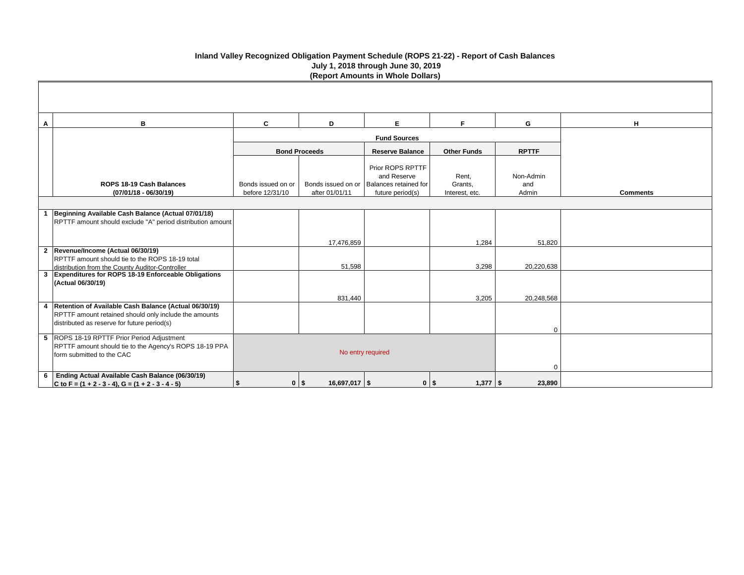| A | B                                                                                                                                                               | $\mathbf{C}$       | D                           | E.                                                                            | F.                 | G                | H               |
|---|-----------------------------------------------------------------------------------------------------------------------------------------------------------------|--------------------|-----------------------------|-------------------------------------------------------------------------------|--------------------|------------------|-----------------|
|   |                                                                                                                                                                 |                    |                             | <b>Fund Sources</b>                                                           |                    |                  |                 |
|   |                                                                                                                                                                 |                    | <b>Bond Proceeds</b>        | <b>Reserve Balance</b>                                                        | <b>Other Funds</b> | <b>RPTTF</b>     |                 |
|   | ROPS 18-19 Cash Balances                                                                                                                                        | Bonds issued on or |                             | Prior ROPS RPTTF<br>and Reserve<br>Bonds issued on or   Balances retained for | Rent,<br>Grants,   | Non-Admin<br>and |                 |
|   | $(07/01/18 - 06/30/19)$                                                                                                                                         | before 12/31/10    | after 01/01/11              | future period(s)                                                              | Interest, etc.     | Admin            | <b>Comments</b> |
|   |                                                                                                                                                                 |                    |                             |                                                                               |                    |                  |                 |
|   | 1 Beginning Available Cash Balance (Actual 07/01/18)<br>RPTTF amount should exclude "A" period distribution amount                                              |                    |                             |                                                                               |                    |                  |                 |
|   |                                                                                                                                                                 |                    | 17,476,859                  |                                                                               | 1,284              | 51,820           |                 |
|   | 2 Revenue/Income (Actual 06/30/19)<br>RPTTF amount should tie to the ROPS 18-19 total<br>distribution from the County Auditor-Controller                        |                    | 51,598                      |                                                                               | 3,298              | 20,220,638       |                 |
|   | 3 Expenditures for ROPS 18-19 Enforceable Obligations<br>(Actual 06/30/19)                                                                                      |                    |                             |                                                                               |                    |                  |                 |
|   | 4 Retention of Available Cash Balance (Actual 06/30/19)<br>RPTTF amount retained should only include the amounts<br>distributed as reserve for future period(s) |                    | 831,440                     |                                                                               | 3,205              | 20,248,568<br>0  |                 |
|   | 5 ROPS 18-19 RPTTF Prior Period Adjustment<br>RPTTF amount should tie to the Agency's ROPS 18-19 PPA<br>form submitted to the CAC                               |                    |                             | No entry required                                                             |                    | $\Omega$         |                 |
|   | 6   Ending Actual Available Cash Balance (06/30/19)<br>C to F = $(1 + 2 - 3 - 4)$ , G = $(1 + 2 - 3 - 4 - 5)$                                                   |                    | $16,697,017$ \$<br>$0$   \$ | $0$   \$                                                                      | $1,377$   \$       | 23,890           |                 |

# **Inland Valley Recognized Obligation Payment Schedule (ROPS 21-22) - Report of Cash Balances July 1, 2018 through June 30, 2019 (Report Amounts in Whole Dollars)**